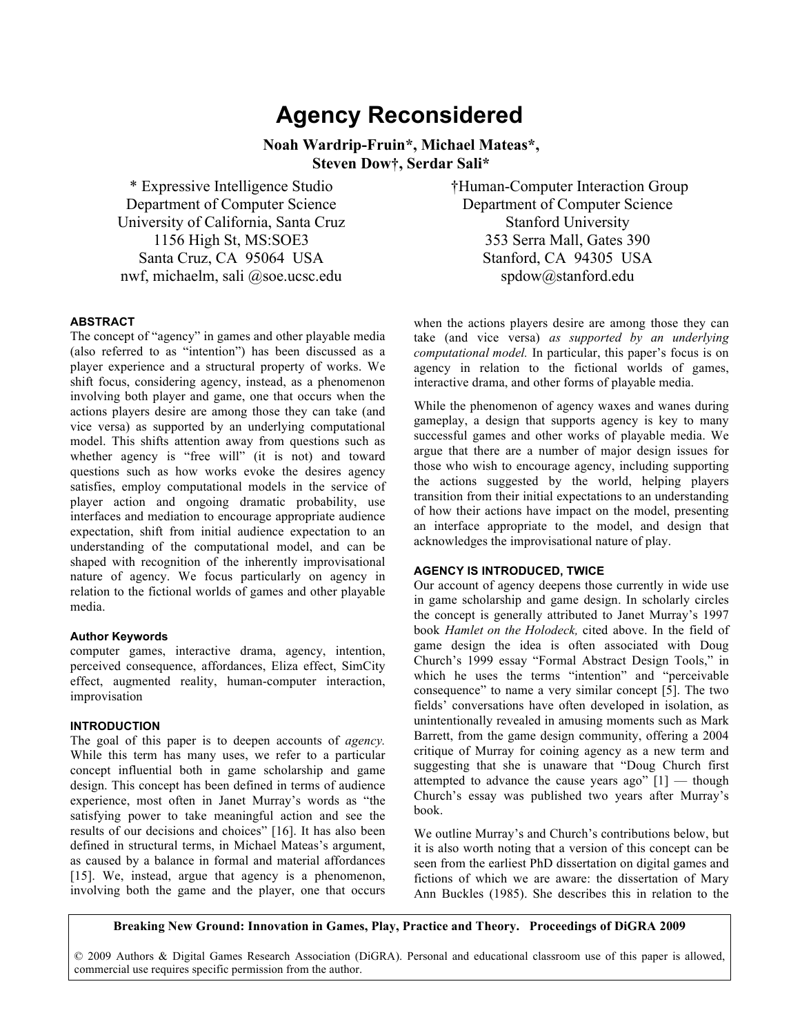# **Agency Reconsidered**

**Noah Wardrip-Fruin\*, Michael Mateas\*, Steven Dow†, Serdar Sali\***

\* Expressive Intelligence Studio Department of Computer Science University of California, Santa Cruz 1156 High St, MS:SOE3 Santa Cruz, CA 95064 USA nwf, michaelm, sali @soe.ucsc.edu

 †Human-Computer Interaction Group Department of Computer Science Stanford University 353 Serra Mall, Gates 390 Stanford, CA 94305 USA spdow@stanford.edu

#### **ABSTRACT**

The concept of "agency" in games and other playable media (also referred to as "intention") has been discussed as a player experience and a structural property of works. We shift focus, considering agency, instead, as a phenomenon involving both player and game, one that occurs when the actions players desire are among those they can take (and vice versa) as supported by an underlying computational model. This shifts attention away from questions such as whether agency is "free will" (it is not) and toward questions such as how works evoke the desires agency satisfies, employ computational models in the service of player action and ongoing dramatic probability, use interfaces and mediation to encourage appropriate audience expectation, shift from initial audience expectation to an understanding of the computational model, and can be shaped with recognition of the inherently improvisational nature of agency. We focus particularly on agency in relation to the fictional worlds of games and other playable media.

#### **Author Keywords**

computer games, interactive drama, agency, intention, perceived consequence, affordances, Eliza effect, SimCity effect, augmented reality, human-computer interaction, improvisation

## **INTRODUCTION**

The goal of this paper is to deepen accounts of *agency.*  While this term has many uses, we refer to a particular concept influential both in game scholarship and game design. This concept has been defined in terms of audience experience, most often in Janet Murray's words as "the satisfying power to take meaningful action and see the results of our decisions and choices" [16]. It has also been defined in structural terms, in Michael Mateas's argument, as caused by a balance in formal and material affordances [15]. We, instead, argue that agency is a phenomenon, involving both the game and the player, one that occurs

when the actions players desire are among those they can take (and vice versa) *as supported by an underlying computational model.* In particular, this paper's focus is on agency in relation to the fictional worlds of games, interactive drama, and other forms of playable media.

While the phenomenon of agency waxes and wanes during gameplay, a design that supports agency is key to many successful games and other works of playable media. We argue that there are a number of major design issues for those who wish to encourage agency, including supporting the actions suggested by the world, helping players transition from their initial expectations to an understanding of how their actions have impact on the model, presenting an interface appropriate to the model, and design that acknowledges the improvisational nature of play.

## **AGENCY IS INTRODUCED, TWICE**

Our account of agency deepens those currently in wide use in game scholarship and game design. In scholarly circles the concept is generally attributed to Janet Murray's 1997 book *Hamlet on the Holodeck,* cited above. In the field of game design the idea is often associated with Doug Church's 1999 essay "Formal Abstract Design Tools," in which he uses the terms "intention" and "perceivable consequence" to name a very similar concept [5]. The two fields' conversations have often developed in isolation, as unintentionally revealed in amusing moments such as Mark Barrett, from the game design community, offering a 2004 critique of Murray for coining agency as a new term and suggesting that she is unaware that "Doug Church first attempted to advance the cause years ago"  $[1]$  — though Church's essay was published two years after Murray's book.

We outline Murray's and Church's contributions below, but it is also worth noting that a version of this concept can be seen from the earliest PhD dissertation on digital games and fictions of which we are aware: the dissertation of Mary Ann Buckles (1985). She describes this in relation to the

**Breaking New Ground: Innovation in Games, Play, Practice and Theory. Proceedings of DiGRA 2009**

© 2009 Authors & Digital Games Research Association (DiGRA). Personal and educational classroom use of this paper is allowed, commercial use requires specific permission from the author.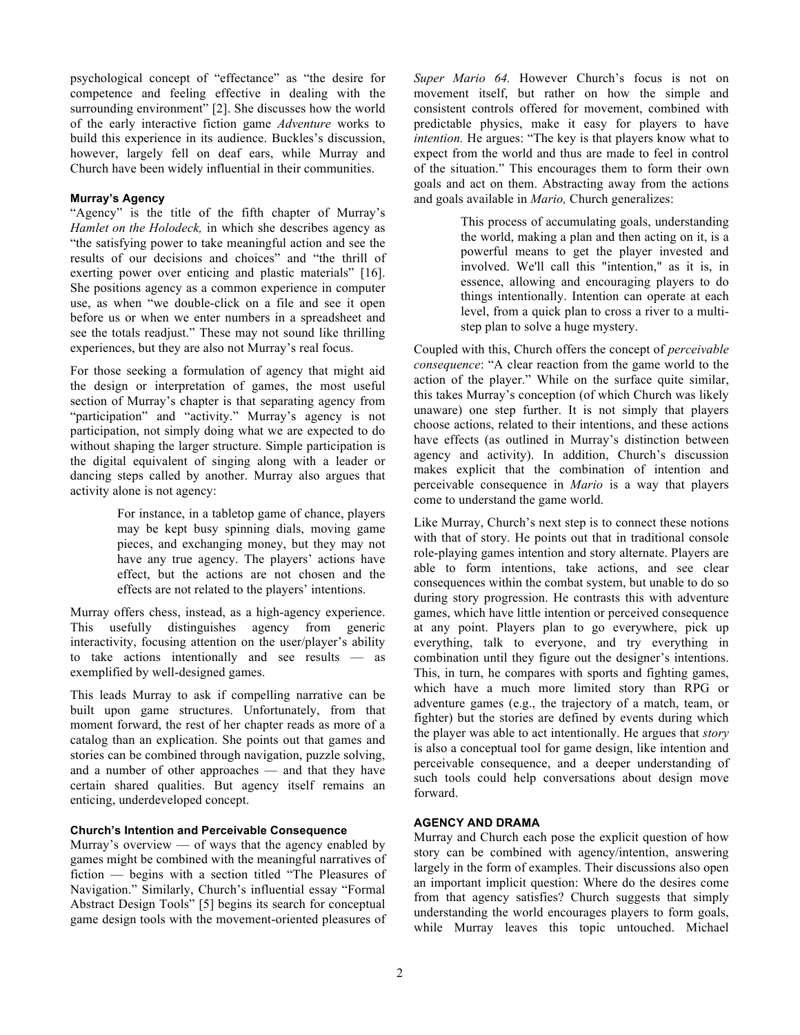psychological concept of "effectance" as "the desire for competence and feeling effective in dealing with the surrounding environment" [2]. She discusses how the world of the early interactive fiction game *Adventure* works to build this experience in its audience. Buckles's discussion, however, largely fell on deaf ears, while Murray and Church have been widely influential in their communities.

#### **Murray's Agency**

"Agency" is the title of the fifth chapter of Murray's *Hamlet on the Holodeck,* in which she describes agency as "the satisfying power to take meaningful action and see the results of our decisions and choices" and "the thrill of exerting power over enticing and plastic materials" [16]. She positions agency as a common experience in computer use, as when "we double-click on a file and see it open before us or when we enter numbers in a spreadsheet and see the totals readjust." These may not sound like thrilling experiences, but they are also not Murray's real focus.

For those seeking a formulation of agency that might aid the design or interpretation of games, the most useful section of Murray's chapter is that separating agency from "participation" and "activity." Murray's agency is not participation, not simply doing what we are expected to do without shaping the larger structure. Simple participation is the digital equivalent of singing along with a leader or dancing steps called by another. Murray also argues that activity alone is not agency:

> For instance, in a tabletop game of chance, players may be kept busy spinning dials, moving game pieces, and exchanging money, but they may not have any true agency. The players' actions have effect, but the actions are not chosen and the effects are not related to the players' intentions.

Murray offers chess, instead, as a high-agency experience. This usefully distinguishes agency from generic interactivity, focusing attention on the user/player's ability to take actions intentionally and see results — as exemplified by well-designed games.

This leads Murray to ask if compelling narrative can be built upon game structures. Unfortunately, from that moment forward, the rest of her chapter reads as more of a catalog than an explication. She points out that games and stories can be combined through navigation, puzzle solving, and a number of other approaches — and that they have certain shared qualities. But agency itself remains an enticing, underdeveloped concept.

## **Church's Intention and Perceivable Consequence**

Murray's overview  $\sim$  of ways that the agency enabled by games might be combined with the meaningful narratives of fiction — begins with a section titled "The Pleasures of Navigation." Similarly, Church's influential essay "Formal Abstract Design Tools" [5] begins its search for conceptual game design tools with the movement-oriented pleasures of *Super Mario 64.* However Church's focus is not on movement itself, but rather on how the simple and consistent controls offered for movement, combined with predictable physics, make it easy for players to have *intention.* He argues: "The key is that players know what to expect from the world and thus are made to feel in control of the situation." This encourages them to form their own goals and act on them. Abstracting away from the actions and goals available in *Mario,* Church generalizes:

> This process of accumulating goals, understanding the world, making a plan and then acting on it, is a powerful means to get the player invested and involved. We'll call this "intention," as it is, in essence, allowing and encouraging players to do things intentionally. Intention can operate at each level, from a quick plan to cross a river to a multistep plan to solve a huge mystery.

Coupled with this, Church offers the concept of *perceivable consequence*: "A clear reaction from the game world to the action of the player." While on the surface quite similar, this takes Murray's conception (of which Church was likely unaware) one step further. It is not simply that players choose actions, related to their intentions, and these actions have effects (as outlined in Murray's distinction between agency and activity). In addition, Church's discussion makes explicit that the combination of intention and perceivable consequence in *Mario* is a way that players come to understand the game world.

Like Murray, Church's next step is to connect these notions with that of story. He points out that in traditional console role-playing games intention and story alternate. Players are able to form intentions, take actions, and see clear consequences within the combat system, but unable to do so during story progression. He contrasts this with adventure games, which have little intention or perceived consequence at any point. Players plan to go everywhere, pick up everything, talk to everyone, and try everything in combination until they figure out the designer's intentions. This, in turn, he compares with sports and fighting games, which have a much more limited story than RPG or adventure games (e.g., the trajectory of a match, team, or fighter) but the stories are defined by events during which the player was able to act intentionally. He argues that *story* is also a conceptual tool for game design, like intention and perceivable consequence, and a deeper understanding of such tools could help conversations about design move forward.

## **AGENCY AND DRAMA**

Murray and Church each pose the explicit question of how story can be combined with agency/intention, answering largely in the form of examples. Their discussions also open an important implicit question: Where do the desires come from that agency satisfies? Church suggests that simply understanding the world encourages players to form goals, while Murray leaves this topic untouched. Michael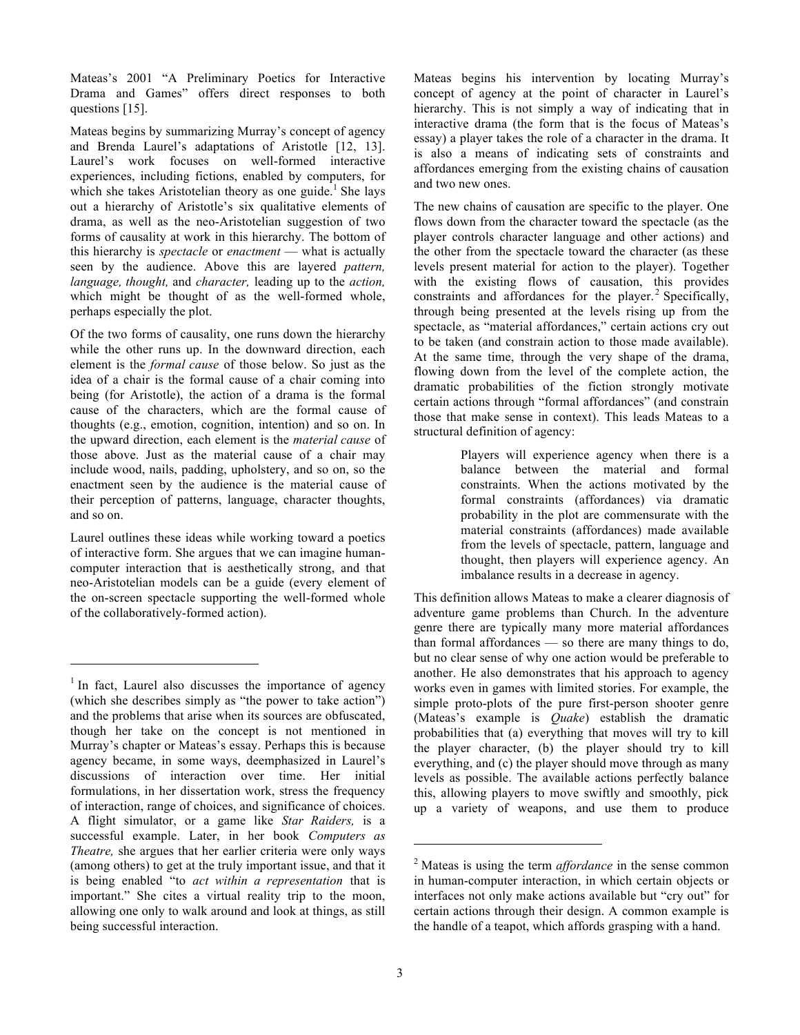Mateas's 2001 "A Preliminary Poetics for Interactive Drama and Games" offers direct responses to both questions [15].

Mateas begins by summarizing Murray's concept of agency and Brenda Laurel's adaptations of Aristotle [12, 13]. Laurel's work focuses on well-formed interactive experiences, including fictions, enabled by computers, for which she takes Aristotelian theory as one guide.<sup>1</sup> She lays out a hierarchy of Aristotle's six qualitative elements of drama, as well as the neo-Aristotelian suggestion of two forms of causality at work in this hierarchy. The bottom of this hierarchy is *spectacle* or *enactment* — what is actually seen by the audience. Above this are layered *pattern, language, thought,* and *character,* leading up to the *action,* which might be thought of as the well-formed whole, perhaps especially the plot.

Of the two forms of causality, one runs down the hierarchy while the other runs up. In the downward direction, each element is the *formal cause* of those below. So just as the idea of a chair is the formal cause of a chair coming into being (for Aristotle), the action of a drama is the formal cause of the characters, which are the formal cause of thoughts (e.g., emotion, cognition, intention) and so on. In the upward direction, each element is the *material cause* of those above. Just as the material cause of a chair may include wood, nails, padding, upholstery, and so on, so the enactment seen by the audience is the material cause of their perception of patterns, language, character thoughts, and so on.

Laurel outlines these ideas while working toward a poetics of interactive form. She argues that we can imagine humancomputer interaction that is aesthetically strong, and that neo-Aristotelian models can be a guide (every element of the on-screen spectacle supporting the well-formed whole of the collaboratively-formed action).

 $\overline{a}$ 

Mateas begins his intervention by locating Murray's concept of agency at the point of character in Laurel's hierarchy. This is not simply a way of indicating that in interactive drama (the form that is the focus of Mateas's essay) a player takes the role of a character in the drama. It is also a means of indicating sets of constraints and affordances emerging from the existing chains of causation and two new ones.

The new chains of causation are specific to the player. One flows down from the character toward the spectacle (as the player controls character language and other actions) and the other from the spectacle toward the character (as these levels present material for action to the player). Together with the existing flows of causation, this provides constraints and affordances for the player. $2$  Specifically, through being presented at the levels rising up from the spectacle, as "material affordances," certain actions cry out to be taken (and constrain action to those made available). At the same time, through the very shape of the drama, flowing down from the level of the complete action, the dramatic probabilities of the fiction strongly motivate certain actions through "formal affordances" (and constrain those that make sense in context). This leads Mateas to a structural definition of agency:

> Players will experience agency when there is a balance between the material and formal constraints. When the actions motivated by the formal constraints (affordances) via dramatic probability in the plot are commensurate with the material constraints (affordances) made available from the levels of spectacle, pattern, language and thought, then players will experience agency. An imbalance results in a decrease in agency.

This definition allows Mateas to make a clearer diagnosis of adventure game problems than Church. In the adventure genre there are typically many more material affordances than formal affordances — so there are many things to do, but no clear sense of why one action would be preferable to another. He also demonstrates that his approach to agency works even in games with limited stories. For example, the simple proto-plots of the pure first-person shooter genre (Mateas's example is *Quake*) establish the dramatic probabilities that (a) everything that moves will try to kill the player character, (b) the player should try to kill everything, and (c) the player should move through as many levels as possible. The available actions perfectly balance this, allowing players to move swiftly and smoothly, pick up a variety of weapons, and use them to produce

l

<sup>&</sup>lt;sup>1</sup> In fact, Laurel also discusses the importance of agency (which she describes simply as "the power to take action") and the problems that arise when its sources are obfuscated, though her take on the concept is not mentioned in Murray's chapter or Mateas's essay. Perhaps this is because agency became, in some ways, deemphasized in Laurel's discussions of interaction over time. Her initial formulations, in her dissertation work, stress the frequency of interaction, range of choices, and significance of choices. A flight simulator, or a game like *Star Raiders,* is a successful example. Later, in her book *Computers as Theatre,* she argues that her earlier criteria were only ways (among others) to get at the truly important issue, and that it is being enabled "to *act within a representation* that is important." She cites a virtual reality trip to the moon, allowing one only to walk around and look at things, as still being successful interaction.

<sup>2</sup> Mateas is using the term *affordance* in the sense common in human-computer interaction, in which certain objects or interfaces not only make actions available but "cry out" for certain actions through their design. A common example is the handle of a teapot, which affords grasping with a hand.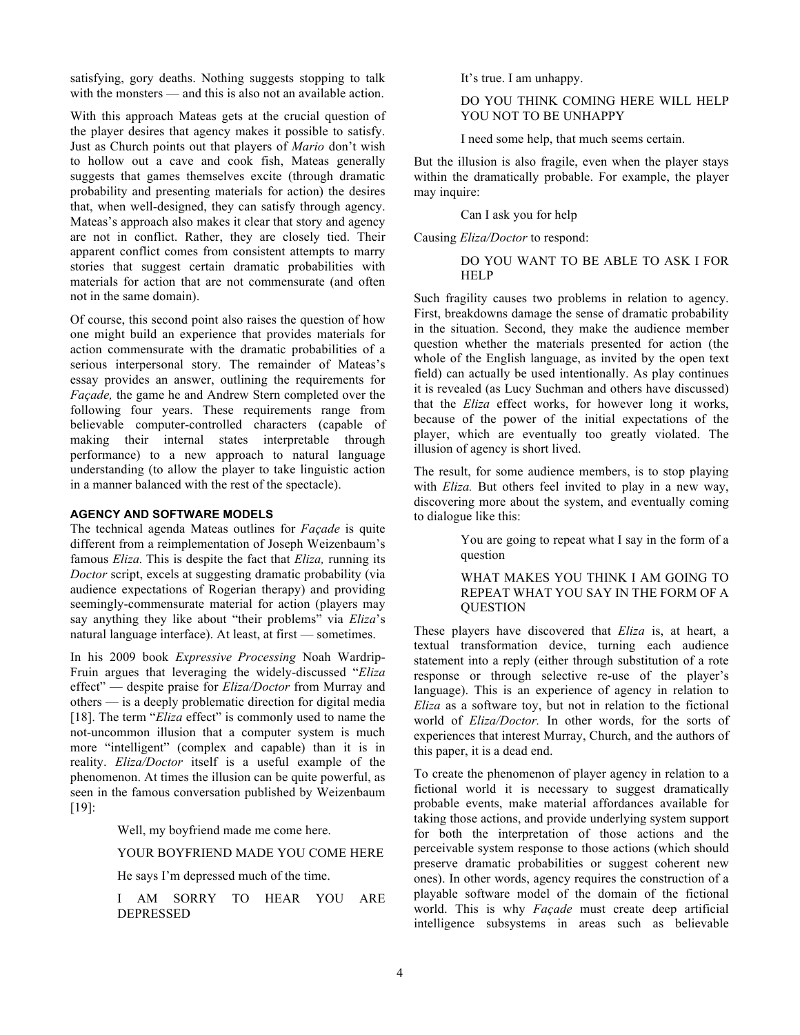satisfying, gory deaths. Nothing suggests stopping to talk with the monsters — and this is also not an available action.

With this approach Mateas gets at the crucial question of the player desires that agency makes it possible to satisfy. Just as Church points out that players of *Mario* don't wish to hollow out a cave and cook fish, Mateas generally suggests that games themselves excite (through dramatic probability and presenting materials for action) the desires that, when well-designed, they can satisfy through agency. Mateas's approach also makes it clear that story and agency are not in conflict. Rather, they are closely tied. Their apparent conflict comes from consistent attempts to marry stories that suggest certain dramatic probabilities with materials for action that are not commensurate (and often not in the same domain).

Of course, this second point also raises the question of how one might build an experience that provides materials for action commensurate with the dramatic probabilities of a serious interpersonal story. The remainder of Mateas's essay provides an answer, outlining the requirements for *Façade,* the game he and Andrew Stern completed over the following four years. These requirements range from believable computer-controlled characters (capable of making their internal states interpretable through performance) to a new approach to natural language understanding (to allow the player to take linguistic action in a manner balanced with the rest of the spectacle).

## **AGENCY AND SOFTWARE MODELS**

The technical agenda Mateas outlines for *Façade* is quite different from a reimplementation of Joseph Weizenbaum's famous *Eliza.* This is despite the fact that *Eliza,* running its *Doctor* script, excels at suggesting dramatic probability (via audience expectations of Rogerian therapy) and providing seemingly-commensurate material for action (players may say anything they like about "their problems" via *Eliza*'s natural language interface). At least, at first — sometimes.

In his 2009 book *Expressive Processing* Noah Wardrip-Fruin argues that leveraging the widely-discussed "*Eliza* effect" — despite praise for *Eliza/Doctor* from Murray and others — is a deeply problematic direction for digital media [18]. The term "*Eliza* effect" is commonly used to name the not-uncommon illusion that a computer system is much more "intelligent" (complex and capable) than it is in reality. *Eliza/Doctor* itself is a useful example of the phenomenon. At times the illusion can be quite powerful, as seen in the famous conversation published by Weizenbaum [19]:

Well, my boyfriend made me come here.

YOUR BOYFRIEND MADE YOU COME HERE

He says I'm depressed much of the time.

I AM SORRY TO HEAR YOU ARE DEPRESSED

It's true. I am unhappy.

#### DO YOU THINK COMING HERE WILL HELP YOU NOT TO BE UNHAPPY

I need some help, that much seems certain.

But the illusion is also fragile, even when the player stays within the dramatically probable. For example, the player may inquire:

Can I ask you for help

Causing *Eliza/Doctor* to respond:

## DO YOU WANT TO BE ABLE TO ASK I FOR **HELP**

Such fragility causes two problems in relation to agency. First, breakdowns damage the sense of dramatic probability in the situation. Second, they make the audience member question whether the materials presented for action (the whole of the English language, as invited by the open text field) can actually be used intentionally. As play continues it is revealed (as Lucy Suchman and others have discussed) that the *Eliza* effect works, for however long it works, because of the power of the initial expectations of the player, which are eventually too greatly violated. The illusion of agency is short lived.

The result, for some audience members, is to stop playing with *Eliza*. But others feel invited to play in a new way, discovering more about the system, and eventually coming to dialogue like this:

> You are going to repeat what I say in the form of a question

## WHAT MAKES YOU THINK I AM GOING TO REPEAT WHAT YOU SAY IN THE FORM OF A **OUESTION**

These players have discovered that *Eliza* is, at heart, a textual transformation device, turning each audience statement into a reply (either through substitution of a rote response or through selective re-use of the player's language). This is an experience of agency in relation to *Eliza* as a software toy, but not in relation to the fictional world of *Eliza/Doctor.* In other words, for the sorts of experiences that interest Murray, Church, and the authors of this paper, it is a dead end.

To create the phenomenon of player agency in relation to a fictional world it is necessary to suggest dramatically probable events, make material affordances available for taking those actions, and provide underlying system support for both the interpretation of those actions and the perceivable system response to those actions (which should preserve dramatic probabilities or suggest coherent new ones). In other words, agency requires the construction of a playable software model of the domain of the fictional world. This is why *Façade* must create deep artificial intelligence subsystems in areas such as believable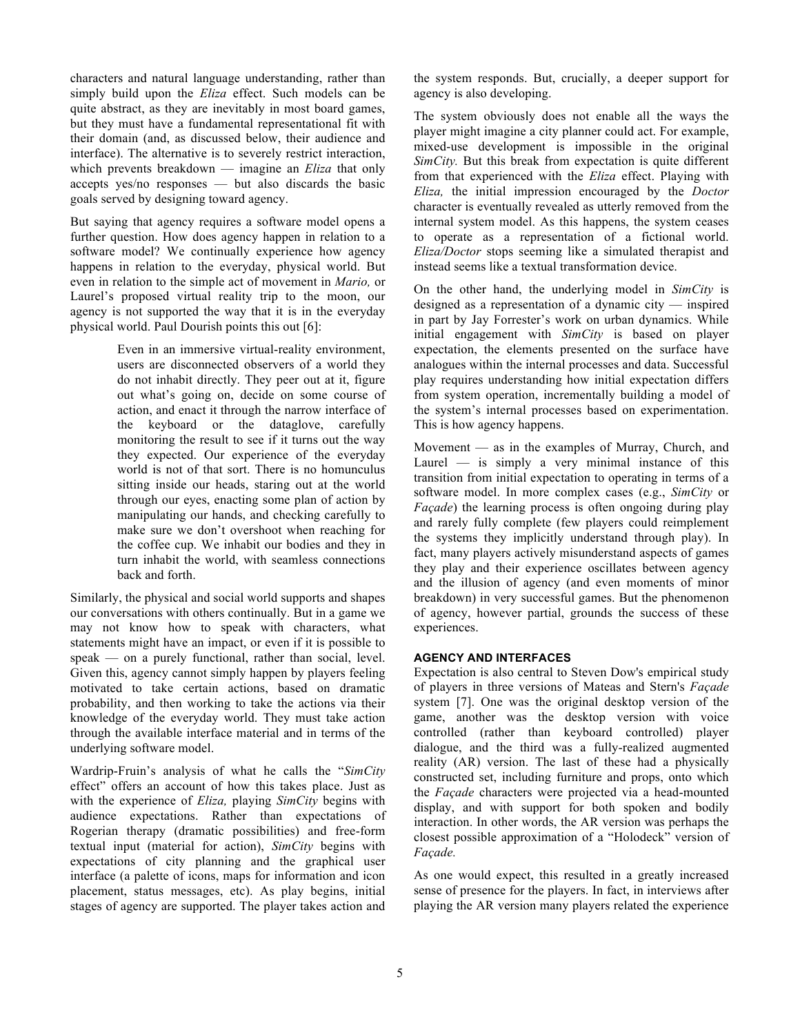characters and natural language understanding, rather than simply build upon the *Eliza* effect. Such models can be quite abstract, as they are inevitably in most board games, but they must have a fundamental representational fit with their domain (and, as discussed below, their audience and interface). The alternative is to severely restrict interaction, which prevents breakdown — imagine an *Eliza* that only accepts yes/no responses — but also discards the basic goals served by designing toward agency.

But saying that agency requires a software model opens a further question. How does agency happen in relation to a software model? We continually experience how agency happens in relation to the everyday, physical world. But even in relation to the simple act of movement in *Mario,* or Laurel's proposed virtual reality trip to the moon, our agency is not supported the way that it is in the everyday physical world. Paul Dourish points this out [6]:

> Even in an immersive virtual-reality environment, users are disconnected observers of a world they do not inhabit directly. They peer out at it, figure out what's going on, decide on some course of action, and enact it through the narrow interface of the keyboard or the dataglove, carefully monitoring the result to see if it turns out the way they expected. Our experience of the everyday world is not of that sort. There is no homunculus sitting inside our heads, staring out at the world through our eyes, enacting some plan of action by manipulating our hands, and checking carefully to make sure we don't overshoot when reaching for the coffee cup. We inhabit our bodies and they in turn inhabit the world, with seamless connections back and forth.

Similarly, the physical and social world supports and shapes our conversations with others continually. But in a game we may not know how to speak with characters, what statements might have an impact, or even if it is possible to speak — on a purely functional, rather than social, level. Given this, agency cannot simply happen by players feeling motivated to take certain actions, based on dramatic probability, and then working to take the actions via their knowledge of the everyday world. They must take action through the available interface material and in terms of the underlying software model.

Wardrip-Fruin's analysis of what he calls the "*SimCity* effect" offers an account of how this takes place. Just as with the experience of *Eliza,* playing *SimCity* begins with audience expectations. Rather than expectations of Rogerian therapy (dramatic possibilities) and free-form textual input (material for action), *SimCity* begins with expectations of city planning and the graphical user interface (a palette of icons, maps for information and icon placement, status messages, etc). As play begins, initial stages of agency are supported. The player takes action and

the system responds. But, crucially, a deeper support for agency is also developing.

The system obviously does not enable all the ways the player might imagine a city planner could act. For example, mixed-use development is impossible in the original *SimCity.* But this break from expectation is quite different from that experienced with the *Eliza* effect. Playing with *Eliza,* the initial impression encouraged by the *Doctor* character is eventually revealed as utterly removed from the internal system model. As this happens, the system ceases to operate as a representation of a fictional world. *Eliza/Doctor* stops seeming like a simulated therapist and instead seems like a textual transformation device.

On the other hand, the underlying model in *SimCity* is designed as a representation of a dynamic city — inspired in part by Jay Forrester's work on urban dynamics. While initial engagement with *SimCity* is based on player expectation, the elements presented on the surface have analogues within the internal processes and data. Successful play requires understanding how initial expectation differs from system operation, incrementally building a model of the system's internal processes based on experimentation. This is how agency happens.

Movement — as in the examples of Murray, Church, and Laurel  $-$  is simply a very minimal instance of this transition from initial expectation to operating in terms of a software model. In more complex cases (e.g., *SimCity* or *Façade*) the learning process is often ongoing during play and rarely fully complete (few players could reimplement the systems they implicitly understand through play). In fact, many players actively misunderstand aspects of games they play and their experience oscillates between agency and the illusion of agency (and even moments of minor breakdown) in very successful games. But the phenomenon of agency, however partial, grounds the success of these experiences.

## **AGENCY AND INTERFACES**

Expectation is also central to Steven Dow's empirical study of players in three versions of Mateas and Stern's *Façade* system [7]. One was the original desktop version of the game, another was the desktop version with voice controlled (rather than keyboard controlled) player dialogue, and the third was a fully-realized augmented reality (AR) version. The last of these had a physically constructed set, including furniture and props, onto which the *Façade* characters were projected via a head-mounted display, and with support for both spoken and bodily interaction. In other words, the AR version was perhaps the closest possible approximation of a "Holodeck" version of *Façade.*

As one would expect, this resulted in a greatly increased sense of presence for the players. In fact, in interviews after playing the AR version many players related the experience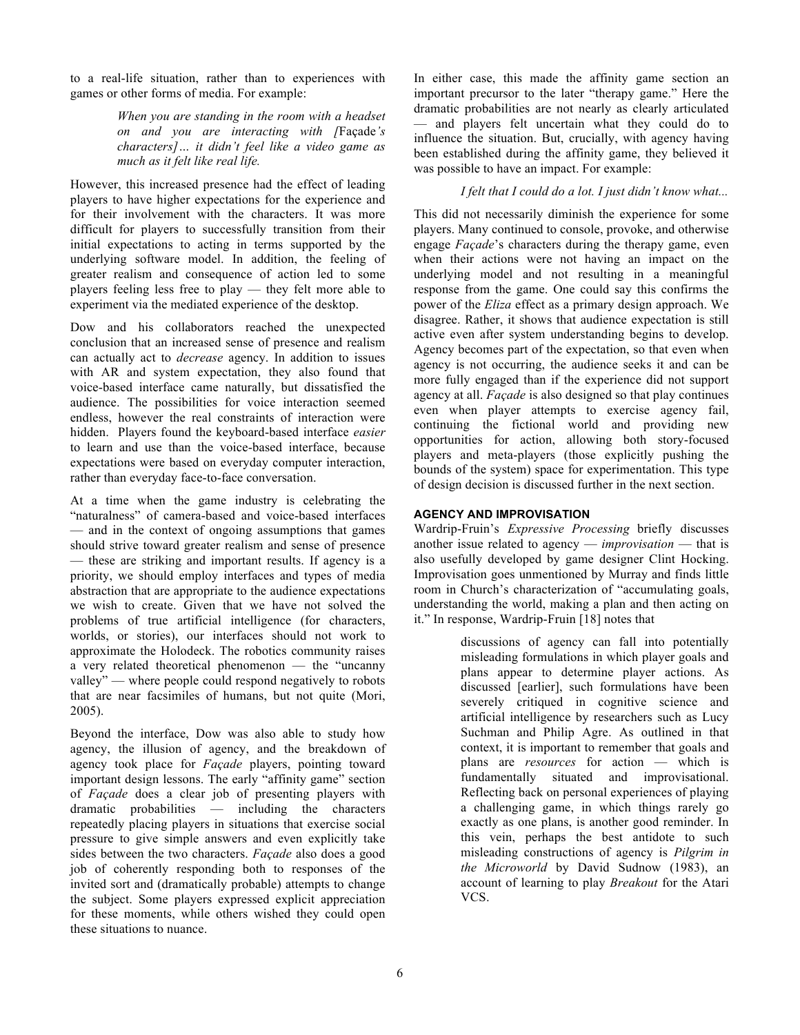to a real-life situation, rather than to experiences with games or other forms of media. For example:

> *When you are standing in the room with a headset on and you are interacting with [*Façade*'s characters]… it didn't feel like a video game as much as it felt like real life.*

However, this increased presence had the effect of leading players to have higher expectations for the experience and for their involvement with the characters. It was more difficult for players to successfully transition from their initial expectations to acting in terms supported by the underlying software model. In addition, the feeling of greater realism and consequence of action led to some players feeling less free to play — they felt more able to experiment via the mediated experience of the desktop.

Dow and his collaborators reached the unexpected conclusion that an increased sense of presence and realism can actually act to *decrease* agency. In addition to issues with AR and system expectation, they also found that voice-based interface came naturally, but dissatisfied the audience. The possibilities for voice interaction seemed endless, however the real constraints of interaction were hidden. Players found the keyboard-based interface *easier* to learn and use than the voice-based interface, because expectations were based on everyday computer interaction, rather than everyday face-to-face conversation.

At a time when the game industry is celebrating the "naturalness" of camera-based and voice-based interfaces — and in the context of ongoing assumptions that games should strive toward greater realism and sense of presence — these are striking and important results. If agency is a priority, we should employ interfaces and types of media abstraction that are appropriate to the audience expectations we wish to create. Given that we have not solved the problems of true artificial intelligence (for characters, worlds, or stories), our interfaces should not work to approximate the Holodeck. The robotics community raises a very related theoretical phenomenon — the "uncanny valley" — where people could respond negatively to robots that are near facsimiles of humans, but not quite (Mori, 2005).

Beyond the interface, Dow was also able to study how agency, the illusion of agency, and the breakdown of agency took place for *Façade* players, pointing toward important design lessons. The early "affinity game" section of *Façade* does a clear job of presenting players with dramatic probabilities — including the characters repeatedly placing players in situations that exercise social pressure to give simple answers and even explicitly take sides between the two characters. *Façade* also does a good job of coherently responding both to responses of the invited sort and (dramatically probable) attempts to change the subject. Some players expressed explicit appreciation for these moments, while others wished they could open these situations to nuance.

In either case, this made the affinity game section an important precursor to the later "therapy game." Here the dramatic probabilities are not nearly as clearly articulated — and players felt uncertain what they could do to influence the situation. But, crucially, with agency having been established during the affinity game, they believed it was possible to have an impact. For example:

## *I felt that I could do a lot. I just didn't know what...*

This did not necessarily diminish the experience for some players. Many continued to console, provoke, and otherwise engage *Façade*'s characters during the therapy game, even when their actions were not having an impact on the underlying model and not resulting in a meaningful response from the game. One could say this confirms the power of the *Eliza* effect as a primary design approach. We disagree. Rather, it shows that audience expectation is still active even after system understanding begins to develop. Agency becomes part of the expectation, so that even when agency is not occurring, the audience seeks it and can be more fully engaged than if the experience did not support agency at all. *Façade* is also designed so that play continues even when player attempts to exercise agency fail, continuing the fictional world and providing new opportunities for action, allowing both story-focused players and meta-players (those explicitly pushing the bounds of the system) space for experimentation. This type of design decision is discussed further in the next section.

## **AGENCY AND IMPROVISATION**

Wardrip-Fruin's *Expressive Processing* briefly discusses another issue related to agency — *improvisation* — that is also usefully developed by game designer Clint Hocking. Improvisation goes unmentioned by Murray and finds little room in Church's characterization of "accumulating goals, understanding the world, making a plan and then acting on it." In response, Wardrip-Fruin [18] notes that

> discussions of agency can fall into potentially misleading formulations in which player goals and plans appear to determine player actions. As discussed [earlier], such formulations have been severely critiqued in cognitive science and artificial intelligence by researchers such as Lucy Suchman and Philip Agre. As outlined in that context, it is important to remember that goals and plans are *resources* for action — which is fundamentally situated and improvisational. Reflecting back on personal experiences of playing a challenging game, in which things rarely go exactly as one plans, is another good reminder. In this vein, perhaps the best antidote to such misleading constructions of agency is *Pilgrim in the Microworld* by David Sudnow (1983), an account of learning to play *Breakout* for the Atari VCS.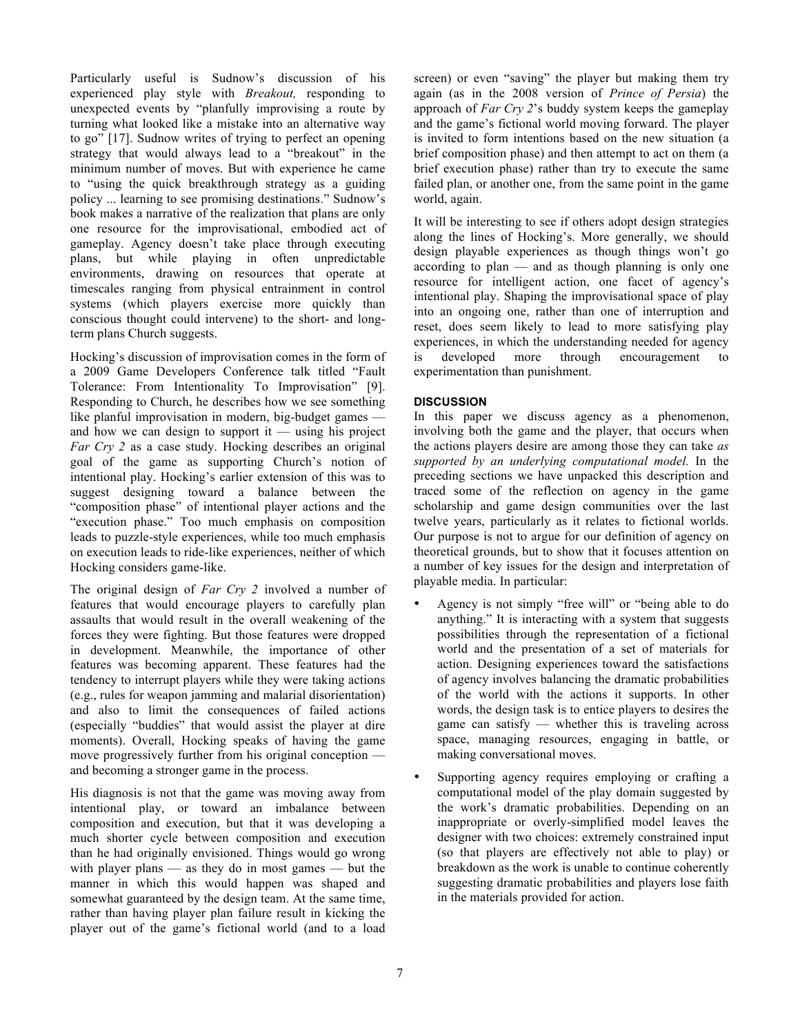Particularly useful is Sudnow's discussion of his experienced play style with *Breakout,* responding to unexpected events by "planfully improvising a route by turning what looked like a mistake into an alternative way to go" [17]. Sudnow writes of trying to perfect an opening strategy that would always lead to a "breakout" in the minimum number of moves. But with experience he came to "using the quick breakthrough strategy as a guiding policy ... learning to see promising destinations." Sudnow's book makes a narrative of the realization that plans are only one resource for the improvisational, embodied act of gameplay. Agency doesn't take place through executing plans, but while playing in often unpredictable environments, drawing on resources that operate at timescales ranging from physical entrainment in control systems (which players exercise more quickly than conscious thought could intervene) to the short- and longterm plans Church suggests.

Hocking's discussion of improvisation comes in the form of a 2009 Game Developers Conference talk titled "Fault Tolerance: From Intentionality To Improvisation" [9]. Responding to Church, he describes how we see something like planful improvisation in modern, big-budget games and how we can design to support it — using his project *Far Cry 2* as a case study. Hocking describes an original goal of the game as supporting Church's notion of intentional play. Hocking's earlier extension of this was to suggest designing toward a balance between the "composition phase" of intentional player actions and the "execution phase." Too much emphasis on composition leads to puzzle-style experiences, while too much emphasis on execution leads to ride-like experiences, neither of which Hocking considers game-like.

The original design of *Far Cry 2* involved a number of features that would encourage players to carefully plan assaults that would result in the overall weakening of the forces they were fighting. But those features were dropped in development. Meanwhile, the importance of other features was becoming apparent. These features had the tendency to interrupt players while they were taking actions (e.g., rules for weapon jamming and malarial disorientation) and also to limit the consequences of failed actions (especially "buddies" that would assist the player at dire moments). Overall, Hocking speaks of having the game move progressively further from his original conception and becoming a stronger game in the process.

His diagnosis is not that the game was moving away from intentional play, or toward an imbalance between composition and execution, but that it was developing a much shorter cycle between composition and execution than he had originally envisioned. Things would go wrong with player plans — as they do in most games — but the manner in which this would happen was shaped and somewhat guaranteed by the design team. At the same time, rather than having player plan failure result in kicking the player out of the game's fictional world (and to a load screen) or even "saving" the player but making them try again (as in the 2008 version of *Prince of Persia*) the approach of *Far Cry 2*'s buddy system keeps the gameplay and the game's fictional world moving forward. The player is invited to form intentions based on the new situation (a brief composition phase) and then attempt to act on them (a brief execution phase) rather than try to execute the same failed plan, or another one, from the same point in the game world, again.

It will be interesting to see if others adopt design strategies along the lines of Hocking's. More generally, we should design playable experiences as though things won't go according to plan — and as though planning is only one resource for intelligent action, one facet of agency's intentional play. Shaping the improvisational space of play into an ongoing one, rather than one of interruption and reset, does seem likely to lead to more satisfying play experiences, in which the understanding needed for agency is developed more through encouragement to experimentation than punishment.

# **DISCUSSION**

In this paper we discuss agency as a phenomenon, involving both the game and the player, that occurs when the actions players desire are among those they can take *as supported by an underlying computational model.* In the preceding sections we have unpacked this description and traced some of the reflection on agency in the game scholarship and game design communities over the last twelve years, particularly as it relates to fictional worlds. Our purpose is not to argue for our definition of agency on theoretical grounds, but to show that it focuses attention on a number of key issues for the design and interpretation of playable media. In particular:

- Agency is not simply "free will" or "being able to do anything." It is interacting with a system that suggests possibilities through the representation of a fictional world and the presentation of a set of materials for action. Designing experiences toward the satisfactions of agency involves balancing the dramatic probabilities of the world with the actions it supports. In other words, the design task is to entice players to desires the game can satisfy — whether this is traveling across space, managing resources, engaging in battle, or making conversational moves.
- Supporting agency requires employing or crafting a computational model of the play domain suggested by the work's dramatic probabilities. Depending on an inappropriate or overly-simplified model leaves the designer with two choices: extremely constrained input (so that players are effectively not able to play) or breakdown as the work is unable to continue coherently suggesting dramatic probabilities and players lose faith in the materials provided for action.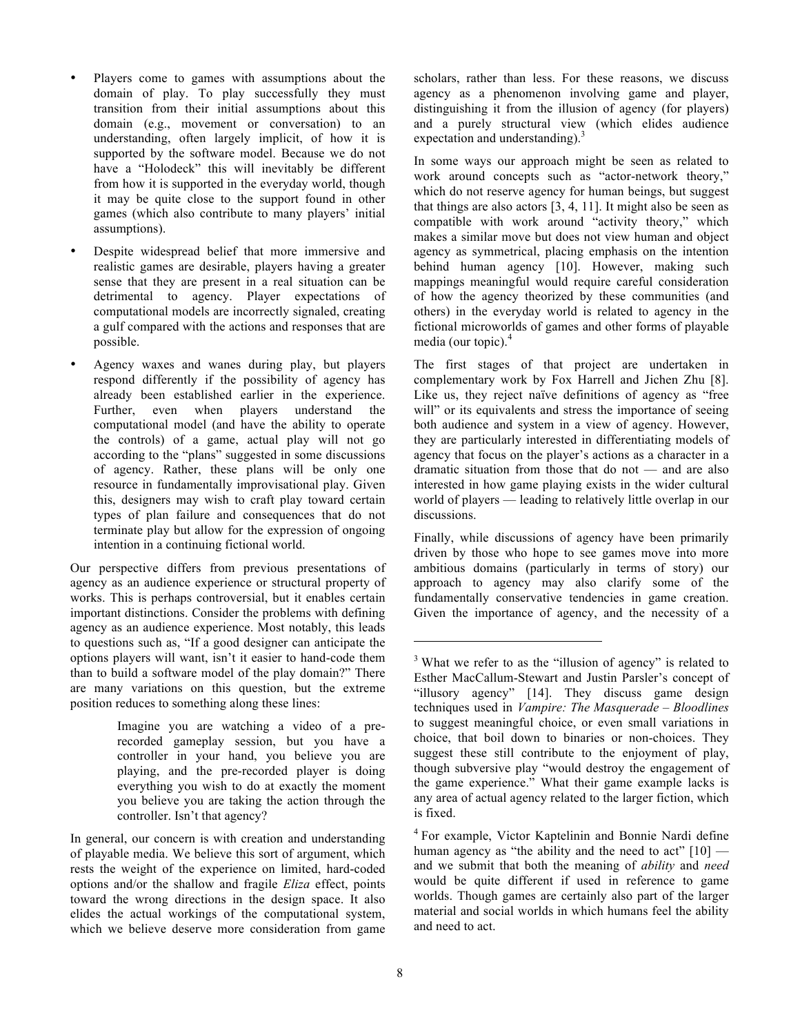- Players come to games with assumptions about the domain of play. To play successfully they must transition from their initial assumptions about this domain (e.g., movement or conversation) to an understanding, often largely implicit, of how it is supported by the software model. Because we do not have a "Holodeck" this will inevitably be different from how it is supported in the everyday world, though it may be quite close to the support found in other games (which also contribute to many players' initial assumptions).
- Despite widespread belief that more immersive and realistic games are desirable, players having a greater sense that they are present in a real situation can be detrimental to agency. Player expectations of computational models are incorrectly signaled, creating a gulf compared with the actions and responses that are possible.
- Agency waxes and wanes during play, but players respond differently if the possibility of agency has already been established earlier in the experience. Further, even when players understand the computational model (and have the ability to operate the controls) of a game, actual play will not go according to the "plans" suggested in some discussions of agency. Rather, these plans will be only one resource in fundamentally improvisational play. Given this, designers may wish to craft play toward certain types of plan failure and consequences that do not terminate play but allow for the expression of ongoing intention in a continuing fictional world.

Our perspective differs from previous presentations of agency as an audience experience or structural property of works. This is perhaps controversial, but it enables certain important distinctions. Consider the problems with defining agency as an audience experience. Most notably, this leads to questions such as, "If a good designer can anticipate the options players will want, isn't it easier to hand-code them than to build a software model of the play domain?" There are many variations on this question, but the extreme position reduces to something along these lines:

> Imagine you are watching a video of a prerecorded gameplay session, but you have a controller in your hand, you believe you are playing, and the pre-recorded player is doing everything you wish to do at exactly the moment you believe you are taking the action through the controller. Isn't that agency?

In general, our concern is with creation and understanding of playable media. We believe this sort of argument, which rests the weight of the experience on limited, hard-coded options and/or the shallow and fragile *Eliza* effect, points toward the wrong directions in the design space. It also elides the actual workings of the computational system, which we believe deserve more consideration from game

scholars, rather than less. For these reasons, we discuss agency as a phenomenon involving game and player, distinguishing it from the illusion of agency (for players) and a purely structural view (which elides audience expectation and understanding).<sup>3</sup>

In some ways our approach might be seen as related to work around concepts such as "actor-network theory," which do not reserve agency for human beings, but suggest that things are also actors [3, 4, 11]. It might also be seen as compatible with work around "activity theory," which makes a similar move but does not view human and object agency as symmetrical, placing emphasis on the intention behind human agency [10]. However, making such mappings meaningful would require careful consideration of how the agency theorized by these communities (and others) in the everyday world is related to agency in the fictional microworlds of games and other forms of playable media (our topic).<sup>4</sup>

The first stages of that project are undertaken in complementary work by Fox Harrell and Jichen Zhu [8]. Like us, they reject naïve definitions of agency as "free will" or its equivalents and stress the importance of seeing both audience and system in a view of agency. However, they are particularly interested in differentiating models of agency that focus on the player's actions as a character in a dramatic situation from those that do not — and are also interested in how game playing exists in the wider cultural world of players — leading to relatively little overlap in our discussions.

Finally, while discussions of agency have been primarily driven by those who hope to see games move into more ambitious domains (particularly in terms of story) our approach to agency may also clarify some of the fundamentally conservative tendencies in game creation. Given the importance of agency, and the necessity of a

l

<sup>&</sup>lt;sup>3</sup> What we refer to as the "illusion of agency" is related to Esther MacCallum-Stewart and Justin Parsler's concept of "illusory agency" [14]. They discuss game design techniques used in *Vampire: The Masquerade – Bloodlines* to suggest meaningful choice, or even small variations in choice, that boil down to binaries or non-choices. They suggest these still contribute to the enjoyment of play, though subversive play "would destroy the engagement of the game experience." What their game example lacks is any area of actual agency related to the larger fiction, which is fixed.

<sup>4</sup> For example, Victor Kaptelinin and Bonnie Nardi define human agency as "the ability and the need to act"  $[10]$  and we submit that both the meaning of *ability* and *need* would be quite different if used in reference to game worlds. Though games are certainly also part of the larger material and social worlds in which humans feel the ability and need to act.